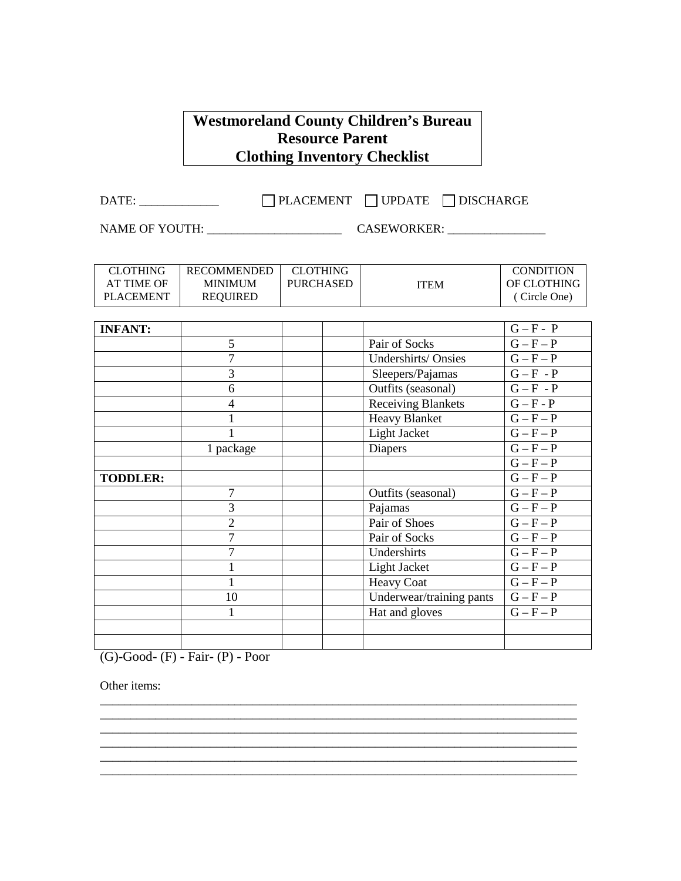## **Westmoreland County Children's Bureau Resource Parent Clothing Inventory Checklist**

 $\begin{tabular}{c} DATE: \begin{tabular}{c} \multicolumn{1}{c} {\textbf{DATE}}: \end{tabular} \end{tabular} \end{tabular} \begin{tabular}{c} \multicolumn{1}{c} {\textbf{DATE}}: \end{tabular} \end{tabular} \begin{tabular}{c} \multicolumn{1}{c} {\textbf{DATE}}: \end{tabular} \begin{tabular}{c} \multicolumn{1}{c} {\textbf{DATE}}: \end{tabular} \end{tabular} \begin{tabular}{c} \multicolumn{1}{c} {\textbf{DATE}}: \end{tabular} \begin{tabular}{c} \multicolumn{1}{c} {\textbf{DATE}}: \end{tabular$ 

NAME OF YOUTH: \_\_\_\_\_\_\_\_\_\_\_\_\_\_\_\_\_\_\_\_\_\_ CASEWORKER: \_\_\_\_\_\_\_\_\_\_\_\_\_\_\_\_

| <b>CLOTHING</b>   | <b>RECOMMENDED</b> | <b>CLOTHING</b>  |                           | <b>CONDITION</b>       |
|-------------------|--------------------|------------------|---------------------------|------------------------|
| <b>AT TIME OF</b> | <b>MINIMUM</b>     | <b>PURCHASED</b> | <b>ITEM</b>               | OF CLOTHING            |
| <b>PLACEMENT</b>  | <b>REQUIRED</b>    |                  |                           | (Circle One)           |
|                   |                    |                  |                           |                        |
| <b>INFANT:</b>    |                    |                  |                           | $G - F - P$            |
|                   | 5                  |                  | Pair of Socks             | $G - F - P$            |
|                   | $\overline{7}$     |                  | Undershirts/Onsies        | $G - F - P$            |
|                   | 3                  |                  | Sleepers/Pajamas          | $G - F - P$            |
|                   | 6                  |                  | Outfits (seasonal)        | $G - F - P$            |
|                   | $\overline{4}$     |                  | <b>Receiving Blankets</b> | $G - F - P$            |
|                   |                    |                  | <b>Heavy Blanket</b>      | $G - F - P$            |
|                   |                    |                  | Light Jacket              | $G - F - P$            |
|                   | 1 package          |                  | <b>Diapers</b>            | $G - F - P$            |
|                   |                    |                  |                           | $G - F - P$            |
| <b>TODDLER:</b>   |                    |                  |                           | $G - F - P$            |
|                   | $\overline{7}$     |                  | Outfits (seasonal)        | $G - F - P$            |
|                   | 3                  |                  | Pajamas                   | $G - F - \overline{P}$ |
|                   | $\overline{2}$     |                  | Pair of Shoes             | $G - F - P$            |
|                   | $\overline{7}$     |                  | Pair of Socks             | $G - F - P$            |
|                   | $\overline{7}$     |                  | Undershirts               | $G - F - P$            |
|                   | $\mathbf{1}$       |                  | Light Jacket              | $G - F - P$            |
|                   | $\mathbf{1}$       |                  | <b>Heavy Coat</b>         | $G - F - P$            |
|                   | 10                 |                  | Underwear/training pants  | $G - F - P$            |
|                   | $\mathbf{1}$       |                  | Hat and gloves            | $G-F-P$                |
|                   |                    |                  |                           |                        |
|                   |                    |                  |                           |                        |

\_\_\_\_\_\_\_\_\_\_\_\_\_\_\_\_\_\_\_\_\_\_\_\_\_\_\_\_\_\_\_\_\_\_\_\_\_\_\_\_\_\_\_\_\_\_\_\_\_\_\_\_\_\_\_\_\_\_\_\_\_\_\_\_\_\_\_\_\_\_\_\_\_\_\_\_\_\_

\_\_\_\_\_\_\_\_\_\_\_\_\_\_\_\_\_\_\_\_\_\_\_\_\_\_\_\_\_\_\_\_\_\_\_\_\_\_\_\_\_\_\_\_\_\_\_\_\_\_\_\_\_\_\_\_\_\_\_\_\_\_\_\_\_\_\_\_\_\_\_\_\_\_\_\_\_\_

\_\_\_\_\_\_\_\_\_\_\_\_\_\_\_\_\_\_\_\_\_\_\_\_\_\_\_\_\_\_\_\_\_\_\_\_\_\_\_\_\_\_\_\_\_\_\_\_\_\_\_\_\_\_\_\_\_\_\_\_\_\_\_\_\_\_\_\_\_\_\_\_\_\_\_\_\_\_

(G)-Good- (F) - Fair- (P) - Poor

Other items: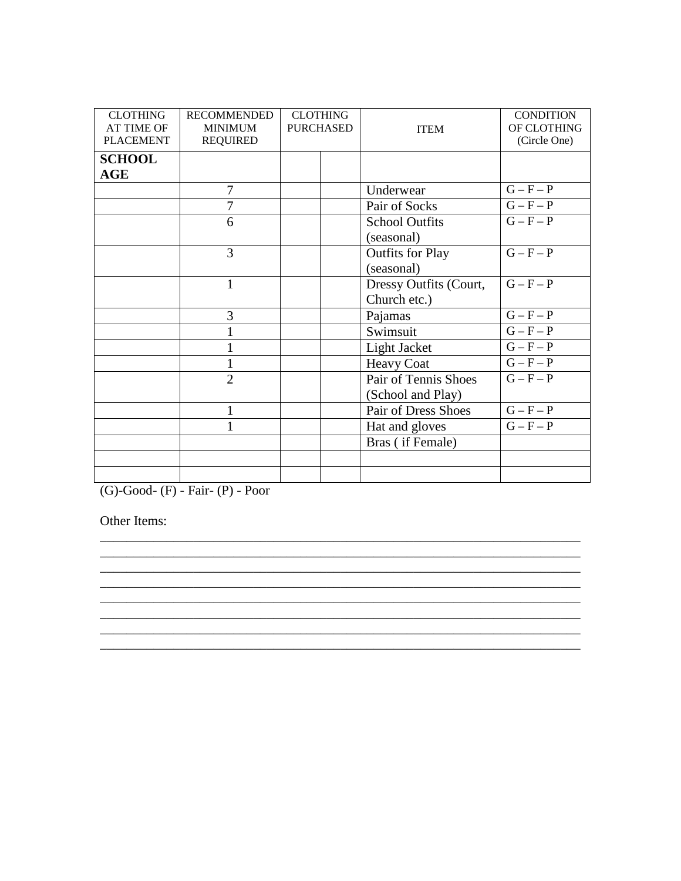| <b>CLOTHING</b><br><b>AT TIME OF</b><br><b>PLACEMENT</b> | <b>RECOMMENDED</b><br><b>MINIMUM</b><br><b>REQUIRED</b> | <b>CLOTHING</b><br><b>PURCHASED</b> |  | <b>ITEM</b>             | <b>CONDITION</b><br>OF CLOTHING<br>(Circle One) |
|----------------------------------------------------------|---------------------------------------------------------|-------------------------------------|--|-------------------------|-------------------------------------------------|
| <b>SCHOOL</b><br>$\mathbf{AGE}$                          |                                                         |                                     |  |                         |                                                 |
|                                                          | 7                                                       |                                     |  | Underwear               | $G - F - P$                                     |
|                                                          | 7                                                       |                                     |  | Pair of Socks           | $G - F - P$                                     |
|                                                          | 6                                                       |                                     |  | <b>School Outfits</b>   | $\overline{G-F-P}$                              |
|                                                          |                                                         |                                     |  | (seasonal)              |                                                 |
|                                                          | 3                                                       |                                     |  | <b>Outfits for Play</b> | $G - F - P$                                     |
|                                                          |                                                         |                                     |  | (seasonal)              |                                                 |
|                                                          | $\mathbf{1}$                                            |                                     |  | Dressy Outfits (Court,  | $G - F - P$                                     |
|                                                          |                                                         |                                     |  | Church etc.)            |                                                 |
|                                                          | 3                                                       |                                     |  | Pajamas                 | $G - F - P$                                     |
|                                                          | $\mathbf{1}$                                            |                                     |  | Swimsuit                | $G - F - P$                                     |
|                                                          | $\mathbf{1}$                                            |                                     |  | Light Jacket            | $G - F - P$                                     |
|                                                          | 1                                                       |                                     |  | <b>Heavy Coat</b>       | $\overline{G} - F - P$                          |
|                                                          | $\overline{2}$                                          |                                     |  | Pair of Tennis Shoes    | $G-F-P$                                         |
|                                                          |                                                         |                                     |  | (School and Play)       |                                                 |
|                                                          | 1                                                       |                                     |  | Pair of Dress Shoes     | $G - F - P$                                     |
|                                                          | 1                                                       |                                     |  | Hat and gloves          | $G - F - P$                                     |
|                                                          |                                                         |                                     |  | Bras (if Female)        |                                                 |
|                                                          |                                                         |                                     |  |                         |                                                 |
|                                                          |                                                         |                                     |  |                         |                                                 |

\_\_\_\_\_\_\_\_\_\_\_\_\_\_\_\_\_\_\_\_\_\_\_\_\_\_\_\_\_\_\_\_\_\_\_\_\_\_\_\_\_\_\_\_\_\_\_\_\_\_\_\_\_\_\_\_\_\_\_\_\_\_\_\_\_\_\_\_\_\_\_\_

\_\_\_\_\_\_\_\_\_\_\_\_\_\_\_\_\_\_\_\_\_\_\_\_\_\_\_\_\_\_\_\_\_\_\_\_\_\_\_\_\_\_\_\_\_\_\_\_\_\_\_\_\_\_\_\_\_\_\_\_\_\_\_\_\_\_\_\_\_\_\_\_ \_\_\_\_\_\_\_\_\_\_\_\_\_\_\_\_\_\_\_\_\_\_\_\_\_\_\_\_\_\_\_\_\_\_\_\_\_\_\_\_\_\_\_\_\_\_\_\_\_\_\_\_\_\_\_\_\_\_\_\_\_\_\_\_\_\_\_\_\_\_\_\_

\_\_\_\_\_\_\_\_\_\_\_\_\_\_\_\_\_\_\_\_\_\_\_\_\_\_\_\_\_\_\_\_\_\_\_\_\_\_\_\_\_\_\_\_\_\_\_\_\_\_\_\_\_\_\_\_\_\_\_\_\_\_\_\_\_\_\_\_\_\_\_\_ \_\_\_\_\_\_\_\_\_\_\_\_\_\_\_\_\_\_\_\_\_\_\_\_\_\_\_\_\_\_\_\_\_\_\_\_\_\_\_\_\_\_\_\_\_\_\_\_\_\_\_\_\_\_\_\_\_\_\_\_\_\_\_\_\_\_\_\_\_\_\_\_

(G)-Good- (F) - Fair- (P) - Poor

Other Items: